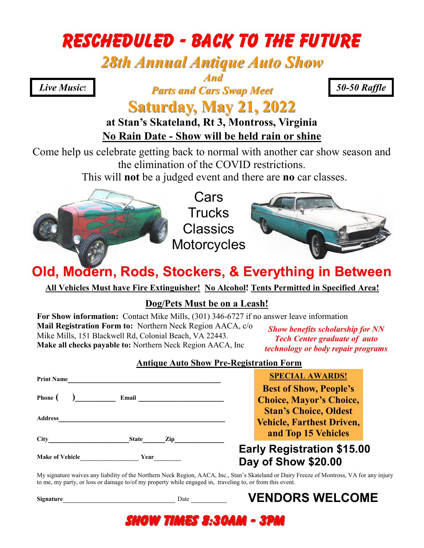# Rescheduled - BACK TO THE FUTURE

# *28th Annual Antique Auto Show*

### *And*

*Parts and Cars Swap Meet Live Music***!** *50-50 Raffle*

### **Saturday, May 21, 2022 at Stan's Skateland, Rt 3, Montross, Virginia**

### **No Rain Date - Show will be held rain or shine**

Come help us celebrate getting back to normal with another car show season and the elimination of the COVID restrictions.

This will **not** be a judged event and there are **no** car classes.



Cars **Trucks Classics Motorcycles** 



# **Old, Modern, Rods, Stockers, & Everything in Between**

**All Vehicles Must have Fire Extinguisher! No Alcohol! Tents Permitted in Specified Area!** 

#### **Dog/Pets Must be on a Leash!**

**For Show information:** Contact Mike Mills, (301) 346-6727 if no answer leave information **Mail Registration Form to:** Northern Neck Region AACA, c/o Mike Mills, 151 Blackwell Rd, Colonial Beach, VA 22443. **Make all checks payable to:** Northern Neck Region AACA, Inc *Show benefits scholarship for NN* 

*Tech Center graduate of auto technology or body repair programs*

#### **Antique Auto Show Pre-Registration Form**

| <b>Make of Vehicle</b> | Year                | <b>Early Registration \$15.00</b><br>Day of Show \$20.00 |
|------------------------|---------------------|----------------------------------------------------------|
| <b>City</b>            | <b>State</b><br>Zip | and Top 15 Vehicles                                      |
| <b>Address</b>         |                     | <b>Vehicle, Farthest Driven,</b>                         |
|                        |                     | <b>Stan's Choice, Oldest</b>                             |
| Phone (                | Email               | <b>Choice, Mayor's Choice,</b>                           |
|                        |                     | <b>Best of Show, People's</b>                            |
| <b>Print Name</b>      |                     | <b>SPECIAL AWARDS!</b>                                   |

My signature waives any liability of the Northern Neck Region, AACA, Inc., Stan's Skateland or Dairy Freeze of Montross, VA for any injury to me, my party, or loss or damage to/of my property while engaged in, traveling to, or from this event.

Show Times 8:30am - 3pm

**Signature** Date  $\Box$ 

## **VENDORS WELCOME**